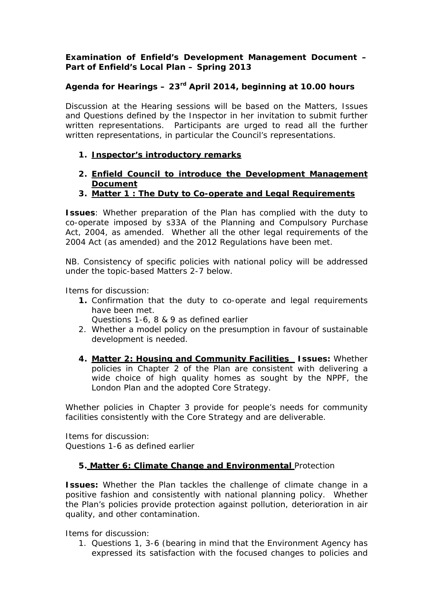### **Examination of Enfield's Development Management Document – Part of Enfield's Local Plan – Spring 2013**

### **Agenda for Hearings – 23rd April 2014, beginning at 10.00 hours**

Discussion at the Hearing sessions will be based on the Matters, Issues and Questions defined by the Inspector in her invitation to submit further written representations. Participants are urged to read all the further written representations, in particular the Council's representations.

#### **1. Inspector's introductory remarks**

- **2. Enfield Council to introduce the Development Management Document**
- **3. Matter 1 : The Duty to Co-operate and Legal Requirements**

**Issues**: Whether preparation of the Plan has complied with the duty to co-operate imposed by s33A of the Planning and Compulsory Purchase Act, 2004, as amended. Whether all the other legal requirements of the 2004 Act (as amended) and the 2012 Regulations have been met.

NB. Consistency of specific policies with national policy will be addressed under the topic-based Matters 2-7 below.

Items for discussion:

- **1.** Confirmation that the duty to co-operate and legal requirements have been met.
	- Questions 1-6, 8 & 9 as defined earlier
- 2. Whether a model policy on the presumption in favour of sustainable development is needed.
- **4. Matter 2: Housing and Community Facilities Issues:** Whether policies in Chapter 2 of the Plan are consistent with delivering a wide choice of high quality homes as sought by the NPPF, the London Plan and the adopted Core Strategy.

Whether policies in Chapter 3 provide for people's needs for community facilities consistently with the Core Strategy and are deliverable.

Items for discussion: Questions 1-6 as defined earlier

#### **5. Matter 6: Climate Change and Environmental** Protection

**Issues:** Whether the Plan tackles the challenge of climate change in a positive fashion and consistently with national planning policy. Whether the Plan's policies provide protection against pollution, deterioration in air quality, and other contamination.

Items for discussion:

1. Questions 1, 3-6 (bearing in mind that the Environment Agency has expressed its satisfaction with the focused changes to policies and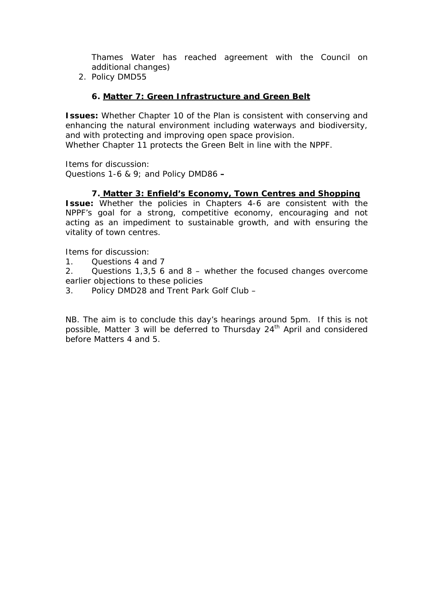Thames Water has reached agreement with the Council on additional changes)

2. Policy DMD55

### **6. Matter 7: Green Infrastructure and Green Belt**

**Issues:** Whether Chapter 10 of the Plan is consistent with conserving and enhancing the natural environment including waterways and biodiversity, and with protecting and improving open space provision. Whether Chapter 11 protects the Green Belt in line with the NPPF.

Items for discussion: Questions 1-6 & 9; and Policy DMD86 **–** 

#### **7. Matter 3: Enfield's Economy, Town Centres and Shopping**

**Issue:** Whether the policies in Chapters 4-6 are consistent with the NPPF's goal for a strong, competitive economy, encouraging and not acting as an impediment to sustainable growth, and with ensuring the vitality of town centres.

Items for discussion:

1. Questions 4 and 7

2. Questions 1,3,5 6 and 8 – whether the focused changes overcome earlier objections to these policies

3. Policy DMD28 and Trent Park Golf Club –

NB. The aim is to conclude this day's hearings around 5pm. If this is not possible, Matter 3 will be deferred to Thursday 24<sup>th</sup> April and considered before Matters 4 and 5.